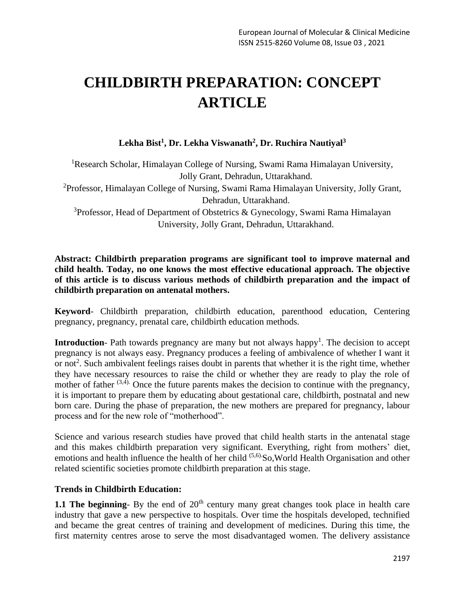# **CHILDBIRTH PREPARATION: CONCEPT ARTICLE**

**Lekha Bist<sup>1</sup> , Dr. Lekha Viswanath<sup>2</sup> , Dr. Ruchira Nautiyal<sup>3</sup>**

<sup>1</sup>Research Scholar, Himalayan College of Nursing, Swami Rama Himalayan University, Jolly Grant, Dehradun, Uttarakhand. <sup>2</sup>Professor, Himalayan College of Nursing, Swami Rama Himalayan University, Jolly Grant, Dehradun, Uttarakhand. <sup>3</sup>Professor, Head of Department of Obstetrics & Gynecology, Swami Rama Himalayan University, Jolly Grant, Dehradun, Uttarakhand.

## **Abstract: Childbirth preparation programs are significant tool to improve maternal and child health. Today, no one knows the most effective educational approach. The objective of this article is to discuss various methods of childbirth preparation and the impact of childbirth preparation on antenatal mothers.**

**Keyword**- Childbirth preparation, childbirth education, parenthood education, Centering pregnancy, pregnancy, prenatal care, childbirth education methods.

**Introduction**- Path towards pregnancy are many but not always happy<sup>1</sup>. The decision to accept pregnancy is not always easy. Pregnancy produces a feeling of ambivalence of whether I want it or not<sup>2</sup>. Such ambivalent feelings raises doubt in parents that whether it is the right time, whether they have necessary resources to raise the child or whether they are ready to play the role of mother of father  $(3,4)$ . Once the future parents makes the decision to continue with the pregnancy, it is important to prepare them by educating about gestational care, childbirth, postnatal and new born care. During the phase of preparation, the new mothers are prepared for pregnancy, labour process and for the new role of "motherhood".

Science and various research studies have proved that child health starts in the antenatal stage and this makes childbirth preparation very significant. Everything, right from mothers' diet, emotions and health influence the health of her child <sup>(5,6)</sup>So, World Health Organisation and other related scientific societies promote childbirth preparation at this stage.

### **Trends in Childbirth Education:**

**1.1 The beginning**- By the end of  $20<sup>th</sup>$  century many great changes took place in health care industry that gave a new perspective to hospitals. Over time the hospitals developed, technified and became the great centres of training and development of medicines. During this time, the first maternity centres arose to serve the most disadvantaged women. The delivery assistance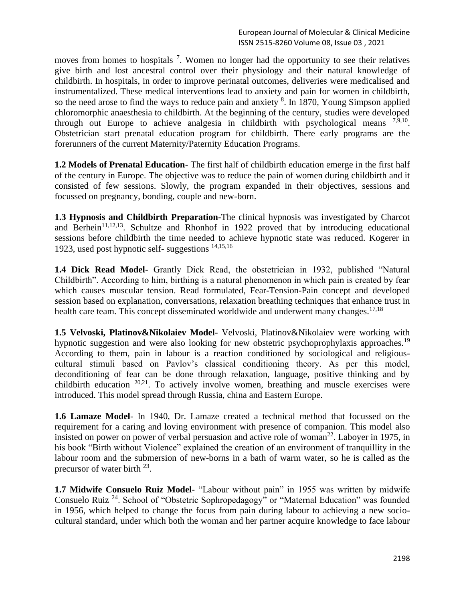moves from homes to hospitals  $<sup>7</sup>$ . Women no longer had the opportunity to see their relatives</sup> give birth and lost ancestral control over their physiology and their natural knowledge of childbirth. In hospitals, in order to improve perinatal outcomes, deliveries were medicalised and instrumentalized. These medical interventions lead to anxiety and pain for women in childbirth, so the need arose to find the ways to reduce pain and anxiety <sup>8</sup>. In 1870, Young Simpson applied chloromorphic anaesthesia to childbirth. At the beginning of the century, studies were developed through out Europe to achieve analgesia in childbirth with psychological means  $^{7,9,10}$ . Obstetrician start prenatal education program for childbirth. There early programs are the forerunners of the current Maternity/Paternity Education Programs.

**1.2 Models of Prenatal Education**- The first half of childbirth education emerge in the first half of the century in Europe. The objective was to reduce the pain of women during childbirth and it consisted of few sessions. Slowly, the program expanded in their objectives, sessions and focussed on pregnancy, bonding, couple and new-born.

**1.3 Hypnosis and Childbirth Preparation-**The clinical hypnosis was investigated by Charcot and Berhein<sup>11,12,13</sup>. Schultze and Rhonhof in 1922 proved that by introducing educational sessions before childbirth the time needed to achieve hypnotic state was reduced. Kogerer in 1923, used post hypnotic self- suggestions 14,15,16

**1.4 Dick Read Model**- Grantly Dick Read, the obstetrician in 1932, published "Natural Childbirth". According to him, birthing is a natural phenomenon in which pain is created by fear which causes muscular tension. Read formulated, Fear-Tension-Pain concept and developed session based on explanation, conversations, relaxation breathing techniques that enhance trust in health care team. This concept disseminated worldwide and underwent many changes.<sup>17,18</sup>

**1.5 Velvoski, Platinov&Nikolaiev Model**- Velvoski, Platinov&Nikolaiev were working with hypnotic suggestion and were also looking for new obstetric psychoprophylaxis approaches.<sup>19</sup> According to them, pain in labour is a reaction conditioned by sociological and religiouscultural stimuli based on Pavlov's classical conditioning theory. As per this model, deconditioning of fear can be done through relaxation, language, positive thinking and by childbirth education 20,21. To actively involve women, breathing and muscle exercises were introduced. This model spread through Russia, china and Eastern Europe.

**1.6 Lamaze Model**- In 1940, Dr. Lamaze created a technical method that focussed on the requirement for a caring and loving environment with presence of companion. This model also insisted on power on power of verbal persuasion and active role of woman<sup>22</sup>. Laboyer in 1975, in his book "Birth without Violence" explained the creation of an environment of tranquillity in the labour room and the submersion of new-borns in a bath of warm water, so he is called as the precursor of water birth <sup>23</sup>.

**1.7 Midwife Consuelo Ruiz Model**- "Labour without pain" in 1955 was written by midwife Consuelo Ruiz <sup>24</sup>. School of "Obstetric Sophropedagogy" or "Maternal Education" was founded in 1956, which helped to change the focus from pain during labour to achieving a new sociocultural standard, under which both the woman and her partner acquire knowledge to face labour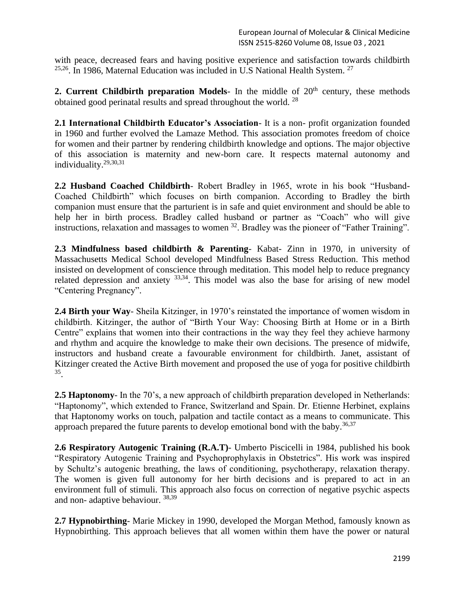with peace, decreased fears and having positive experience and satisfaction towards childbirth  $25,26$ . In 1986, Maternal Education was included in U.S National Health System.  $27$ 

**2. Current Childbirth preparation Models**- In the middle of  $20<sup>th</sup>$  century, these methods obtained good perinatal results and spread throughout the world. <sup>28</sup>

**2.1 International Childbirth Educator's Association**- It is a non- profit organization founded in 1960 and further evolved the Lamaze Method. This association promotes freedom of choice for women and their partner by rendering childbirth knowledge and options. The major objective of this association is maternity and new-born care. It respects maternal autonomy and individuality.29,30,31

**2.2 Husband Coached Childbirth**- Robert Bradley in 1965, wrote in his book "Husband-Coached Childbirth" which focuses on birth companion. According to Bradley the birth companion must ensure that the parturient is in safe and quiet environment and should be able to help her in birth process. Bradley called husband or partner as "Coach" who will give instructions, relaxation and massages to women <sup>32</sup>. Bradley was the pioneer of "Father Training".

**2.3 Mindfulness based childbirth & Parenting**- Kabat- Zinn in 1970, in university of Massachusetts Medical School developed Mindfulness Based Stress Reduction. This method insisted on development of conscience through meditation. This model help to reduce pregnancy related depression and anxiety  $33,34$ . This model was also the base for arising of new model "Centering Pregnancy".

**2.4 Birth your Way**- Sheila Kitzinger, in 1970's reinstated the importance of women wisdom in childbirth. Kitzinger, the author of "Birth Your Way: Choosing Birth at Home or in a Birth Centre" explains that women into their contractions in the way they feel they achieve harmony and rhythm and acquire the knowledge to make their own decisions. The presence of midwife, instructors and husband create a favourable environment for childbirth. Janet, assistant of Kitzinger created the Active Birth movement and proposed the use of yoga for positive childbirth 35 .

**2.5 Haptonomy**- In the 70's, a new approach of childbirth preparation developed in Netherlands: "Haptonomy", which extended to France, Switzerland and Spain. Dr. Etienne Herbinet, explains that Haptonomy works on touch, palpation and tactile contact as a means to communicate. This approach prepared the future parents to develop emotional bond with the baby.<sup>36,37</sup>

**2.6 Respiratory Autogenic Training (R.A.T)**- Umberto Piscicelli in 1984, published his book "Respiratory Autogenic Training and Psychoprophylaxis in Obstetrics". His work was inspired by Schultz's autogenic breathing, the laws of conditioning, psychotherapy, relaxation therapy. The women is given full autonomy for her birth decisions and is prepared to act in an environment full of stimuli. This approach also focus on correction of negative psychic aspects and non- adaptive behaviour. 38,39

**2.7 Hypnobirthing**- Marie Mickey in 1990, developed the Morgan Method, famously known as Hypnobirthing. This approach believes that all women within them have the power or natural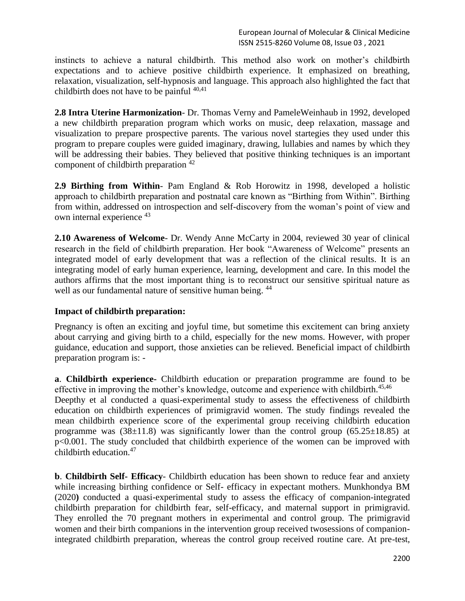instincts to achieve a natural childbirth. This method also work on mother's childbirth expectations and to achieve positive childbirth experience. It emphasized on breathing, relaxation, visualization, self-hypnosis and language. This approach also highlighted the fact that childbirth does not have to be painful  $40,41$ 

**2.8 Intra Uterine Harmonization**- Dr. Thomas Verny and PameleWeinhaub in 1992, developed a new childbirth preparation program which works on music, deep relaxation, massage and visualization to prepare prospective parents. The various novel startegies they used under this program to prepare couples were guided imaginary, drawing, lullabies and names by which they will be addressing their babies. They believed that positive thinking techniques is an important component of childbirth preparation <sup>42</sup>

**2.9 Birthing from Within**- Pam England & Rob Horowitz in 1998, developed a holistic approach to childbirth preparation and postnatal care known as "Birthing from Within". Birthing from within, addressed on introspection and self-discovery from the woman's point of view and own internal experience <sup>43</sup>

**2.10 Awareness of Welcome**- Dr. Wendy Anne McCarty in 2004, reviewed 30 year of clinical research in the field of childbirth preparation. Her book "Awareness of Welcome" presents an integrated model of early development that was a reflection of the clinical results. It is an integrating model of early human experience, learning, development and care. In this model the authors affirms that the most important thing is to reconstruct our sensitive spiritual nature as well as our fundamental nature of sensitive human being. <sup>44</sup>

### **Impact of childbirth preparation:**

Pregnancy is often an exciting and joyful time, but sometime this excitement can bring anxiety about carrying and giving birth to a child, especially for the new moms. However, with proper guidance, education and support, those anxieties can be relieved. Beneficial impact of childbirth preparation program is: -

**a**. **Childbirth experience-** Childbirth education or preparation programme are found to be effective in improving the mother's knowledge, outcome and experience with childbirth.<sup>45,46</sup>

Deepthy et al conducted a quasi-experimental study to assess the effectiveness of childbirth education on childbirth experiences of primigravid women. The study findings revealed the mean childbirth experience score of the experimental group receiving childbirth education programme was  $(38\pm11.8)$  was significantly lower than the control group  $(65.25\pm18.85)$  at p<0.001. The study concluded that childbirth experience of the women can be improved with childbirth education.<sup>47</sup>

**b**. **Childbirth Self- Efficacy**- Childbirth education has been shown to reduce fear and anxiety while increasing birthing confidence or Self- efficacy in expectant mothers. Munkhondya BM (2020**)** conducted a quasi-experimental study to assess the efficacy of companion-integrated childbirth preparation for childbirth fear, self-efficacy, and maternal support in primigravid. They enrolled the 70 pregnant mothers in experimental and control group. The primigravid women and their birth companions in the intervention group received twosessions of companionintegrated childbirth preparation, whereas the control group received routine care. At pre-test,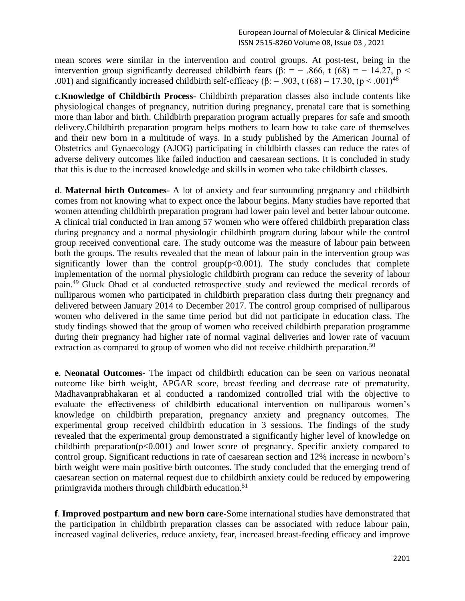mean scores were similar in the intervention and control groups. At post-test, being in the intervention group significantly decreased childbirth fears ( $\beta$ : = - .866, t (68) = - 14.27, p < .001) and significantly increased childbirth self-efficacy ( $\beta$ : = .903, t (68) = 17.30, ( $p < .001$ )<sup>48</sup>

**c**.**Knowledge of Childbirth Process-** Childbirth preparation classes also include contents like physiological changes of pregnancy, nutrition during pregnancy, prenatal care that is something more than labor and birth. Childbirth preparation program actually prepares for safe and smooth delivery.Childbirth preparation program helps mothers to learn how to take care of themselves and their new born in a multitude of ways. In a study published by the American Journal of Obstetrics and Gynaecology (AJOG) participating in childbirth classes can reduce the rates of adverse delivery outcomes like failed induction and caesarean sections. It is concluded in study that this is due to the increased knowledge and skills in women who take childbirth classes.

**d**. **Maternal birth Outcomes**- A lot of anxiety and fear surrounding pregnancy and childbirth comes from not knowing what to expect once the labour begins. Many studies have reported that women attending childbirth preparation program had lower pain level and better labour outcome. A clinical trial conducted in Iran among 57 women who were offered childbirth preparation class during pregnancy and a normal physiologic childbirth program during labour while the control group received conventional care. The study outcome was the measure of labour pain between both the groups. The results revealed that the mean of labour pain in the intervention group was significantly lower than the control group( $p<0.001$ ). The study concludes that complete implementation of the normal physiologic childbirth program can reduce the severity of labour pain.<sup>49</sup>Gluck Ohad et al conducted retrospective study and reviewed the medical records of nulliparous women who participated in childbirth preparation class during their pregnancy and delivered between January 2014 to December 2017. The control group comprised of nulliparous women who delivered in the same time period but did not participate in education class. The study findings showed that the group of women who received childbirth preparation programme during their pregnancy had higher rate of normal vaginal deliveries and lower rate of vacuum extraction as compared to group of women who did not receive childbirth preparation.<sup>50</sup>

**e**. **Neonatal Outcomes-** The impact od childbirth education can be seen on various neonatal outcome like birth weight, APGAR score, breast feeding and decrease rate of prematurity. Madhavanprabhakaran et al conducted a randomized controlled trial with the objective to evaluate the effectiveness of childbirth educational intervention on nulliparous women's knowledge on childbirth preparation, pregnancy anxiety and pregnancy outcomes. The experimental group received childbirth education in 3 sessions. The findings of the study revealed that the experimental group demonstrated a significantly higher level of knowledge on childbirth preparation( $p<0.001$ ) and lower score of pregnancy. Specific anxiety compared to control group. Significant reductions in rate of caesarean section and 12% increase in newborn's birth weight were main positive birth outcomes. The study concluded that the emerging trend of caesarean section on maternal request due to childbirth anxiety could be reduced by empowering primigravida mothers through childbirth education.<sup>51</sup>

**f**. **Improved postpartum and new born care-**Some international studies have demonstrated that the participation in childbirth preparation classes can be associated with reduce labour pain, increased vaginal deliveries, reduce anxiety, fear, increased breast-feeding efficacy and improve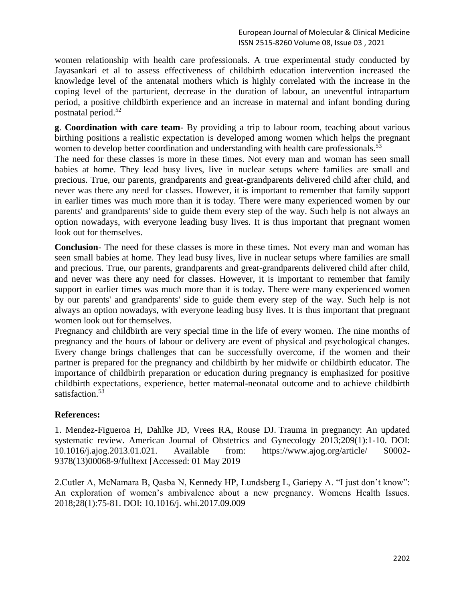women relationship with health care professionals. A true experimental study conducted by Jayasankari et al to assess effectiveness of childbirth education intervention increased the knowledge level of the antenatal mothers which is highly correlated with the increase in the coping level of the parturient, decrease in the duration of labour, an uneventful intrapartum period, a positive childbirth experience and an increase in maternal and infant bonding during postnatal period.<sup>52</sup>

**g**. **Coordination with care team**- By providing a trip to labour room, teaching about various birthing positions a realistic expectation is developed among women which helps the pregnant women to develop better coordination and understanding with health care professionals.<sup>53</sup>

The need for these classes is more in these times. Not every man and woman has seen small babies at home. They lead busy lives, live in nuclear setups where families are small and precious. True, our parents, grandparents and great-grandparents delivered child after child, and never was there any need for classes. However, it is important to remember that family support in earlier times was much more than it is today. There were many experienced women by our parents' and grandparents' side to guide them every step of the way. Such help is not always an option nowadays, with everyone leading busy lives. It is thus important that pregnant women look out for themselves.

**Conclusion**- The need for these classes is more in these times. Not every man and woman has seen small babies at home. They lead busy lives, live in nuclear setups where families are small and precious. True, our parents, grandparents and great-grandparents delivered child after child, and never was there any need for classes. However, it is important to remember that family support in earlier times was much more than it is today. There were many experienced women by our parents' and grandparents' side to guide them every step of the way. Such help is not always an option nowadays, with everyone leading busy lives. It is thus important that pregnant women look out for themselves.

Pregnancy and childbirth are very special time in the life of every women. The nine months of pregnancy and the hours of labour or delivery are event of physical and psychological changes. Every change brings challenges that can be successfully overcome, if the women and their partner is prepared for the pregnancy and childbirth by her midwife or childbirth educator. The importance of childbirth preparation or education during pregnancy is emphasized for positive childbirth expectations, experience, better maternal-neonatal outcome and to achieve childbirth satisfaction.<sup>53</sup>

### **References:**

1. Mendez-Figueroa H, Dahlke JD, Vrees RA, Rouse DJ. Trauma in pregnancy: An updated systematic review. American Journal of Obstetrics and Gynecology 2013;209(1):1-10. DOI: 10.1016/j.ajog.2013.01.021. Available from: https://www.ajog.org/article/ S0002- 9378(13)00068-9/fulltext [Accessed: 01 May 2019

2.Cutler A, McNamara B, Qasba N, Kennedy HP, Lundsberg L, Gariepy A. "I just don't know": An exploration of women's ambivalence about a new pregnancy. Womens Health Issues. 2018;28(1):75-81. DOI: 10.1016/j. whi.2017.09.009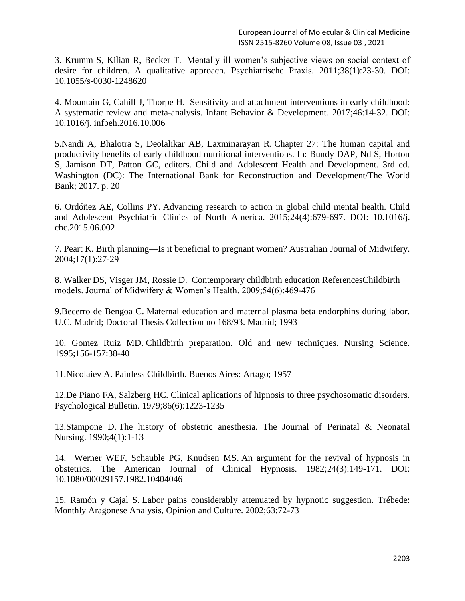3. Krumm S, Kilian R, Becker T. Mentally ill women's subjective views on social context of desire for children. A qualitative approach. Psychiatrische Praxis. 2011;38(1):23-30. DOI: 10.1055/s-0030-1248620

4. Mountain G, Cahill J, Thorpe H. Sensitivity and attachment interventions in early childhood: A systematic review and meta-analysis. Infant Behavior & Development. 2017;46:14-32. DOI: 10.1016/j. infbeh.2016.10.006

5.Nandi A, Bhalotra S, Deolalikar AB, Laxminarayan R. Chapter 27: The human capital and productivity benefits of early childhood nutritional interventions. In: Bundy DAP, Nd S, Horton S, Jamison DT, Patton GC, editors. Child and Adolescent Health and Development. 3rd ed. Washington (DC): The International Bank for Reconstruction and Development/The World Bank; 2017. p. 20

6. Ordóñez AE, Collins PY. Advancing research to action in global child mental health. Child and Adolescent Psychiatric Clinics of North America. 2015;24(4):679-697. DOI: 10.1016/j. chc.2015.06.002

7. Peart K. Birth planning—Is it beneficial to pregnant women? Australian Journal of Midwifery. 2004;17(1):27-29

8. Walker DS, Visger JM, Rossie D. Contemporary childbirth education ReferencesChildbirth models. Journal of Midwifery & Women's Health. 2009;54(6):469-476

9.Becerro de Bengoa C. Maternal education and maternal plasma beta endorphins during labor. U.C. Madrid; Doctoral Thesis Collection no 168/93. Madrid; 1993

10. Gomez Ruiz MD. Childbirth preparation. Old and new techniques. Nursing Science. 1995;156-157:38-40

11.Nicolaiev A. Painless Childbirth. Buenos Aires: Artago; 1957

12.De Piano FA, Salzberg HC. Clinical aplications of hipnosis to three psychosomatic disorders. Psychological Bulletin. 1979;86(6):1223-1235

13.Stampone D. The history of obstetric anesthesia. The Journal of Perinatal & Neonatal Nursing. 1990;4(1):1-13

14. Werner WEF, Schauble PG, Knudsen MS. An argument for the revival of hypnosis in obstetrics. The American Journal of Clinical Hypnosis. 1982;24(3):149-171. DOI: 10.1080/00029157.1982.10404046

15. Ramón y Cajal S. Labor pains considerably attenuated by hypnotic suggestion. Trébede: Monthly Aragonese Analysis, Opinion and Culture. 2002;63:72-73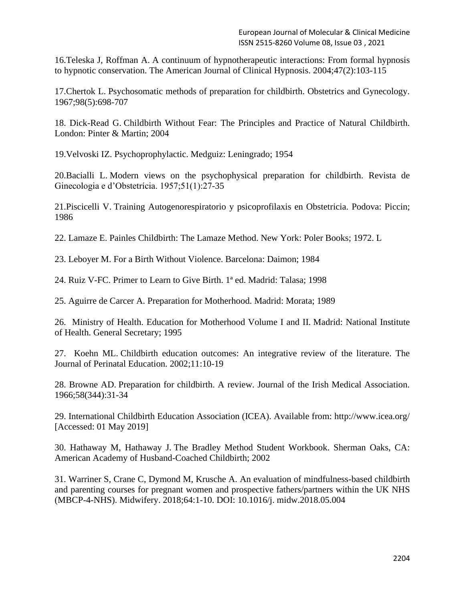16.Teleska J, Roffman A. A continuum of hypnotherapeutic interactions: From formal hypnosis to hypnotic conservation. The American Journal of Clinical Hypnosis. 2004;47(2):103-115

17.Chertok L. Psychosomatic methods of preparation for childbirth. Obstetrics and Gynecology. 1967;98(5):698-707

18. Dick-Read G. Childbirth Without Fear: The Principles and Practice of Natural Childbirth. London: Pinter & Martin; 2004

19.Velvoski IZ. Psychoprophylactic. Medguiz: Leningrado; 1954

20.Bacialli L. Modern views on the psychophysical preparation for childbirth. Revista de Ginecologia e d'Obstetrícia. 1957;51(1):27-35

21.Piscicelli V. Training Autogenorespiratorio y psicoprofilaxis en Obstetricia. Podova: Piccin; 1986

22. Lamaze E. Painles Childbirth: The Lamaze Method. New York: Poler Books; 1972. L

23. Leboyer M. For a Birth Without Violence. Barcelona: Daimon; 1984

24. Ruiz V-FC. Primer to Learn to Give Birth. 1ª ed. Madrid: Talasa; 1998

25. Aguirre de Carcer A. Preparation for Motherhood. Madrid: Morata; 1989

26. Ministry of Health. Education for Motherhood Volume I and II. Madrid: National Institute of Health. General Secretary; 1995

27. Koehn ML. Childbirth education outcomes: An integrative review of the literature. The Journal of Perinatal Education. 2002;11:10-19

28. Browne AD. Preparation for childbirth. A review. Journal of the Irish Medical Association. 1966;58(344):31-34

29. International Childbirth Education Association (ICEA). Available from: http://www.icea.org/ [Accessed: 01 May 2019]

30. Hathaway M, Hathaway J. The Bradley Method Student Workbook. Sherman Oaks, CA: American Academy of Husband-Coached Childbirth; 2002

31. Warriner S, Crane C, Dymond M, Krusche A. An evaluation of mindfulness-based childbirth and parenting courses for pregnant women and prospective fathers/partners within the UK NHS (MBCP-4-NHS). Midwifery. 2018;64:1-10. DOI: 10.1016/j. midw.2018.05.004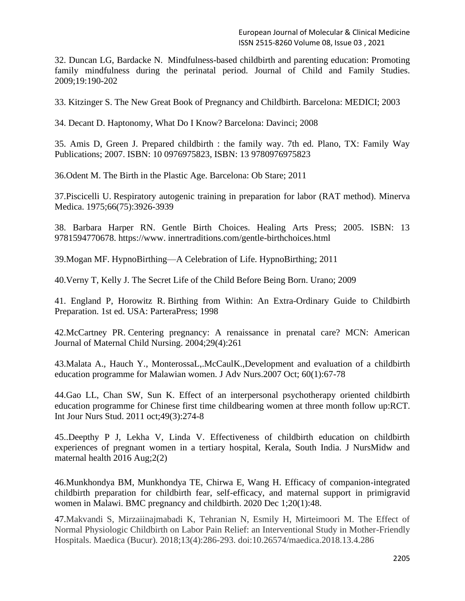32. Duncan LG, Bardacke N. Mindfulness-based childbirth and parenting education: Promoting family mindfulness during the perinatal period. Journal of Child and Family Studies. 2009;19:190-202

33. Kitzinger S. The New Great Book of Pregnancy and Childbirth. Barcelona: MEDICI; 2003

34. Decant D. Haptonomy, What Do I Know? Barcelona: Davinci; 2008

35. Amis D, Green J. Prepared childbirth : the family way. 7th ed. Plano, TX: Family Way Publications; 2007. ISBN: 10 0976975823, ISBN: 13 9780976975823

36.Odent M. The Birth in the Plastic Age. Barcelona: Ob Stare; 2011

37.Piscicelli U. Respiratory autogenic training in preparation for labor (RAT method). Minerva Medica. 1975;66(75):3926-3939

38. Barbara Harper RN. Gentle Birth Choices. Healing Arts Press; 2005. ISBN: 13 9781594770678. https://www. innertraditions.com/gentle-birthchoices.html

39.Mogan MF. HypnoBirthing—A Celebration of Life. HypnoBirthing; 2011

40.Verny T, Kelly J. The Secret Life of the Child Before Being Born. Urano; 2009

41. England P, Horowitz R. Birthing from Within: An Extra-Ordinary Guide to Childbirth Preparation. 1st ed. USA: ParteraPress; 1998

42.McCartney PR. Centering pregnancy: A renaissance in prenatal care? MCN: American Journal of Maternal Child Nursing. 2004;29(4):261

43.Malata A., Hauch Y., MonterossaL,.McCaulK.,Development and evaluation of a childbirth education programme for Malawian women. J Adv Nurs.2007 Oct; 60(1):67-78

44.Gao LL, Chan SW, Sun K. Effect of an interpersonal psychotherapy oriented childbirth education programme for Chinese first time childbearing women at three month follow up:RCT. Int Jour Nurs Stud. 2011 oct;49(3):274-8

45..Deepthy P J, Lekha V, Linda V. Effectiveness of childbirth education on childbirth experiences of pregnant women in a tertiary hospital, Kerala, South India. J NursMidw and maternal health 2016 Aug;2(2)

46.Munkhondya BM, Munkhondya TE, Chirwa E, Wang H. Efficacy of companion-integrated childbirth preparation for childbirth fear, self-efficacy, and maternal support in primigravid women in Malawi. BMC pregnancy and childbirth. 2020 Dec 1;20(1):48.

47.Makvandi S, Mirzaiinajmabadi K, Tehranian N, Esmily H, Mirteimoori M. The Effect of Normal Physiologic Childbirth on Labor Pain Relief: an Interventional Study in Mother-Friendly Hospitals. Maedica (Bucur). 2018;13(4):286-293. doi:10.26574/maedica.2018.13.4.286